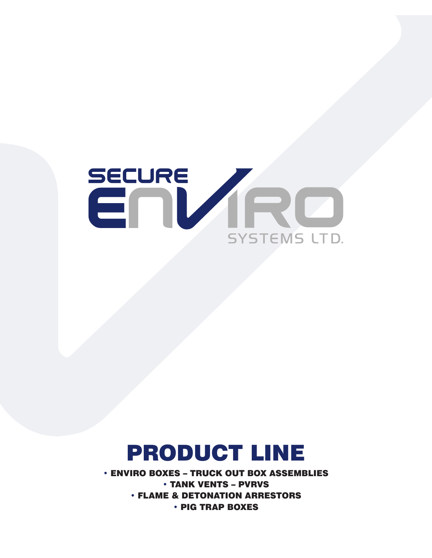

# PRODUCT LINE

• ENVIRO BOXES – TRUCK OUT BOX ASSEMBLIES • TANK VENTS – PVRVS • FLAME & DETONATION ARRESTORS • PIG TRAP BOXES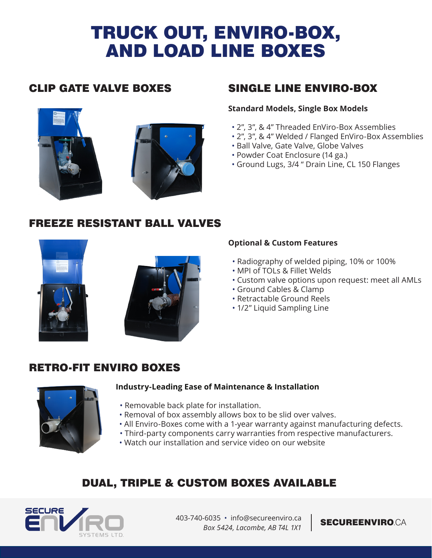# TRUCK OUT, ENVIRO-BOX, AND LOAD LINE BOXES





# CLIP GATE VALVE BOXES SINGLE LINE ENVIRO-BOX

## **Standard Models, Single Box Models**

- 2", 3", & 4" Threaded EnViro-Box Assemblies
- 2", 3", & 4" Welded / Flanged EnViro-Box Assemblies
- Ball Valve, Gate Valve, Globe Valves
- Powder Coat Enclosure (14 ga.)
- Ground Lugs, 3/4 " Drain Line, CL 150 Flanges

# FREEZE RESISTANT BALL VALVES





## **Optional & Custom Features**

- Radiography of welded piping, 10% or 100%
- MPI of TOLs & Fillet Welds
- Custom valve options upon request: meet all AMLs
- Ground Cables & Clamp
- Retractable Ground Reels
- 1/2" Liquid Sampling Line

# RETRO-FIT ENVIRO BOXES



### **Industry-Leading Ease of Maintenance & Installation**

- Removable back plate for installation.
- Removal of box assembly allows box to be slid over valves.
- All Enviro-Boxes come with a 1-year warranty against manufacturing defects.
- Third-party components carry warranties from respective manufacturers.
	- Watch our installation and service video on our website

# DUAL, TRIPLE & CUSTOM BOXES AVAILABLE



403-740-6035 • info@secureenviro.ca | SECUREENVIRO CA *Box 5424, Lacombe, AB T4L 1X1*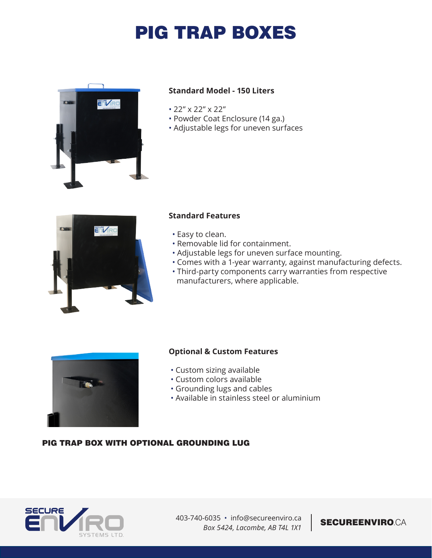# PIG TRAP BOXES



## **Standard Model - 150 Liters**

- 22" x 22" x 22"
- Powder Coat Enclosure (14 ga.)
- Adjustable legs for uneven surfaces



### **Standard Features**

- Easy to clean.
- Removable lid for containment.
- Adjustable legs for uneven surface mounting.
- Comes with a 1-year warranty, against manufacturing defects.
- Third-party components carry warranties from respective manufacturers, where applicable.



### **Optional & Custom Features**

- Custom sizing available
- Custom colors available
- Grounding lugs and cables
- Available in stainless steel or aluminium

### PIG TRAP BOX WITH OPTIONAL GROUNDING LUG



403-740-6035 • info@secureenviro.ca | SECUREENVIRO.CA *Box 5424, Lacombe, AB T4L 1X1*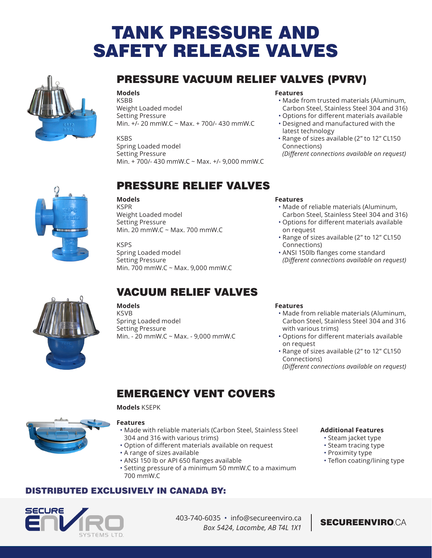# TANK PRESSURE AND SAFETY RELEASE VALVES



# PRESSURE VACUUM RELIEF VALVES (PVRV)

**Models** KSBB Weight Loaded model Setting Pressure Min. +/- 20 mmW.C ~ Max. + 700/- 430 mmW.C

KSBS Spring Loaded model

Setting Pressure

### **Features**

- Made from trusted materials (Aluminum, Carbon Steel, Stainless Steel 304 and 316)
- Options for different materials available • Designed and manufactured with the
- latest technology • Range of sizes available (2" to 12" CL150 Connections)

*(Different connections available on request)*



# PRESSURE RELIEF VALVES

Min. + 700/- 430 mmW.C ~ Max. +/- 9,000 mmW.C

#### **Models**

KSPR Weight Loaded model Setting Pressure Min. 20 mmW.C ~ Max. 700 mmW.C

KSPS Spring Loaded model Setting Pressure Min. 700 mmW.C ~ Max. 9,000 mmW.C

# VACUUM RELIEF VALVES

**Models KSVB** Spring Loaded model

Setting Pressure Min. - 20 mmW.C ~ Max. - 9,000 mmW.C

#### **Features** • Made of reliable materials (Aluminum,

- Carbon Steel, Stainless Steel 304 and 316) • Options for different materials available
- on request
- Range of sizes available (2" to 12" CL150 Connections)
- ANSI 150lb flanges come standard *(Different connections available on request)*

### **Features**

- Made from reliable materials (Aluminum, Carbon Steel, Stainless Steel 304 and 316 with various trims)
- Options for different materials available on request
- Range of sizes available (2" to 12" CL150 Connections)

*(Different connections available on request)*

# EMERGENCY VENT COVERS

#### **Models** KSEPK



#### **Features**

- Made with reliable materials (Carbon Steel, Stainless Steel 304 and 316 with various trims)
- Option of different materials available on request
- A range of sizes available
- ANSI 150 lb or API 650 flanges available
- Setting pressure of a minimum 50 mmW.C to a maximum 700 mmW.C

## DISTRIBUTED EXCLUSIVELY IN CANADA BY:



- Steam jacket type
- Steam tracing type • Proximity type
- Teflon coating/lining type



403-740-6035 • info@secureenviro.ca | SECUREENVIRO.CA *Box 5424, Lacombe, AB T4L 1X1*